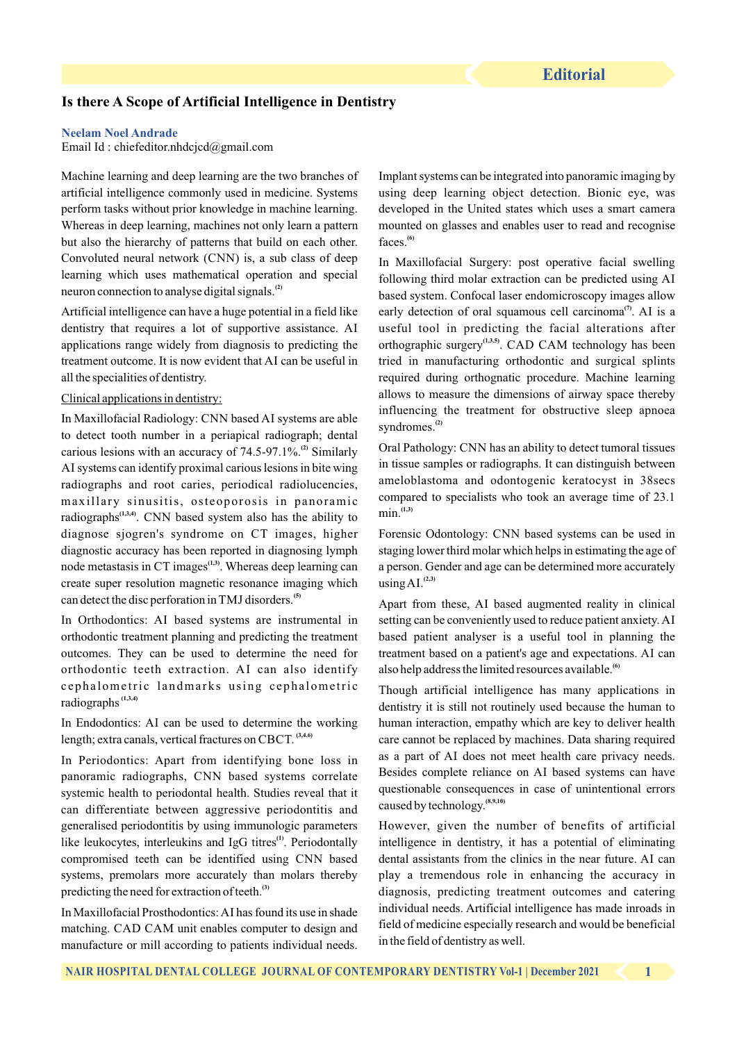## **Is there A Scope of Artificial Intelligence in Dentistry**

#### **Neelam Noel Andrade**

Email Id : chiefeditor.nhdcjcd@gmail.com

Machine learning and deep learning are the two branches of artificial intelligence commonly used in medicine. Systems perform tasks without prior knowledge in machine learning. Whereas in deep learning, machines not only learn a pattern but also the hierarchy of patterns that build on each other. Convoluted neural network (CNN) is, a sub class of deep learning which uses mathematical operation and special **(2)** neuron connection to analyse digital signals.

Artificial intelligence can have a huge potential in a field like dentistry that requires a lot of supportive assistance. AI applications range widely from diagnosis to predicting the treatment outcome. It is now evident that AI can be useful in all the specialities of dentistry.

### Clinical applications in dentistry:

In Maxillofacial Radiology: CNN based AI systems are able to detect tooth number in a periapical radiograph; dental **(2)** carious lesions with an accuracy of 74.5-97.1%. Similarly AI systems can identify proximal carious lesions in bite wing radiographs and root caries, periodical radiolucencies, maxillary sinusitis, osteoporosis in panoramic radiographs<sup>(1,3,4)</sup>. CNN based system also has the ability to diagnose sjogren's syndrome on CT images, higher diagnostic accuracy has been reported in diagnosing lymph node metastasis in  $CT$  images<sup> $(1,3)$ </sup>. Whereas deep learning can create super resolution magnetic resonance imaging which **(5)** can detect the disc perforation in TMJ disorders.

In Orthodontics: AI based systems are instrumental in orthodontic treatment planning and predicting the treatment outcomes. They can be used to determine the need for orthodontic teeth extraction. AI can also identify cephalometric landmarks using cephalometric **(1,3,4)** radiographs

In Endodontics: AI can be used to determine the working length; extra canals, vertical fractures on CBCT.<sup>(3,4,6)</sup>

In Periodontics: Apart from identifying bone loss in panoramic radiographs, CNN based systems correlate systemic health to periodontal health. Studies reveal that it can differentiate between aggressive periodontitis and generalised periodontitis by using immunologic parameters like leukocytes, interleukins and IgG titres<sup>(1)</sup>. Periodontally compromised teeth can be identified using CNN based systems, premolars more accurately than molars thereby **(3)** predicting the need for extraction of teeth.

In Maxillofacial Prosthodontics: AI has found its use in shade matching. CAD CAM unit enables computer to design and manufacture or mill according to patients individual needs.

Implant systems can be integrated into panoramic imaging by using deep learning object detection. Bionic eye, was developed in the United states which uses a smart camera mounted on glasses and enables user to read and recognise faces.<sup>(6)</sup>

In Maxillofacial Surgery: post operative facial swelling following third molar extraction can be predicted using AI based system. Confocal laser endomicroscopy images allow early detection of oral squamous cell carcinoma<sup>(7)</sup>. AI is a useful tool in predicting the facial alterations after orthographic surgery<sup>(1,3,5)</sup>. CAD CAM technology has been tried in manufacturing orthodontic and surgical splints required during orthognatic procedure. Machine learning allows to measure the dimensions of airway space thereby influencing the treatment for obstructive sleep apnoea **(2)** syndromes.

Oral Pathology: CNN has an ability to detect tumoral tissues in tissue samples or radiographs. It can distinguish between ameloblastoma and odontogenic keratocyst in 38secs compared to specialists who took an average time of 23.1 **(1,3)** min.

Forensic Odontology: CNN based systems can be used in staging lower third molar which helps in estimating the age of a person. Gender and age can be determined more accurately  $using AI<sup>(2,3)</sup>$ 

Apart from these, AI based augmented reality in clinical setting can be conveniently used to reduce patient anxiety. AI based patient analyser is a useful tool in planning the treatment based on a patient's age and expectations. AI can **(6)** also help address the limited resources available.

Though artificial intelligence has many applications in dentistry it is still not routinely used because the human to human interaction, empathy which are key to deliver health care cannot be replaced by machines. Data sharing required as a part of AI does not meet health care privacy needs. Besides complete reliance on AI based systems can have questionable consequences in case of unintentional errors caused by technology.<sup>(8,9,10)</sup>

However, given the number of benefits of artificial intelligence in dentistry, it has a potential of eliminating dental assistants from the clinics in the near future. AI can play a tremendous role in enhancing the accuracy in diagnosis, predicting treatment outcomes and catering individual needs. Artificial intelligence has made inroads in field of medicine especially research and would be beneficial in the field of dentistry as well.